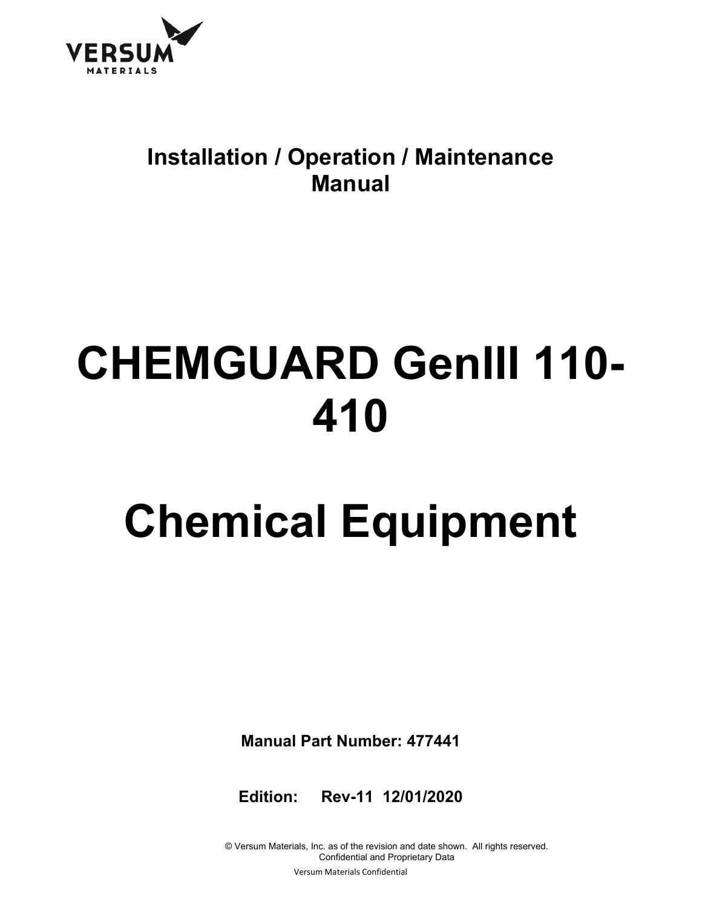

### **Installation / Operation / Maintenance Manual**

## **CHEMGUARD GenIII 110- 410**

# **Chemical Equipment**

**Manual Part Number: 477441** 

**Edition: Rev-11 12/01/2020** 

© Versum Materials, Inc. as of the revision and date shown. All rights reserved. Confidential and Proprietary Data Versum Materials Confidential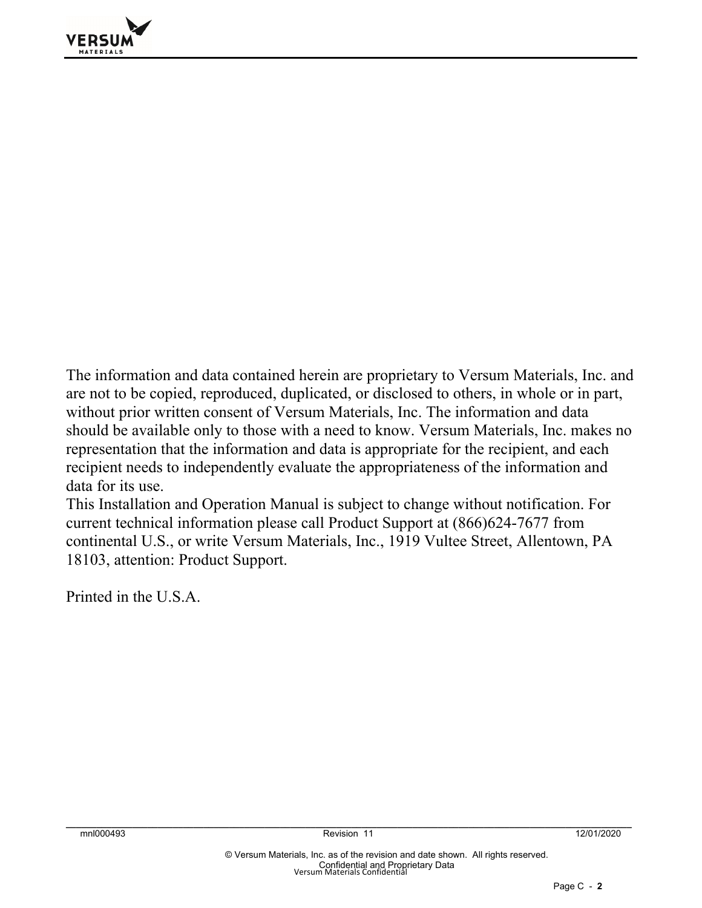

The information and data contained herein are proprietary to Versum Materials, Inc. and are not to be copied, reproduced, duplicated, or disclosed to others, in whole or in part, without prior written consent of Versum Materials, Inc. The information and data should be available only to those with a need to know. Versum Materials, Inc. makes no representation that the information and data is appropriate for the recipient, and each recipient needs to independently evaluate the appropriateness of the information and data for its use.

This Installation and Operation Manual is subject to change without notification. For current technical information please call Product Support at (866)624-7677 from continental U.S., or write Versum Materials, Inc., 1919 Vultee Street, Allentown, PA 18103, attention: Product Support.

Printed in the U.S.A.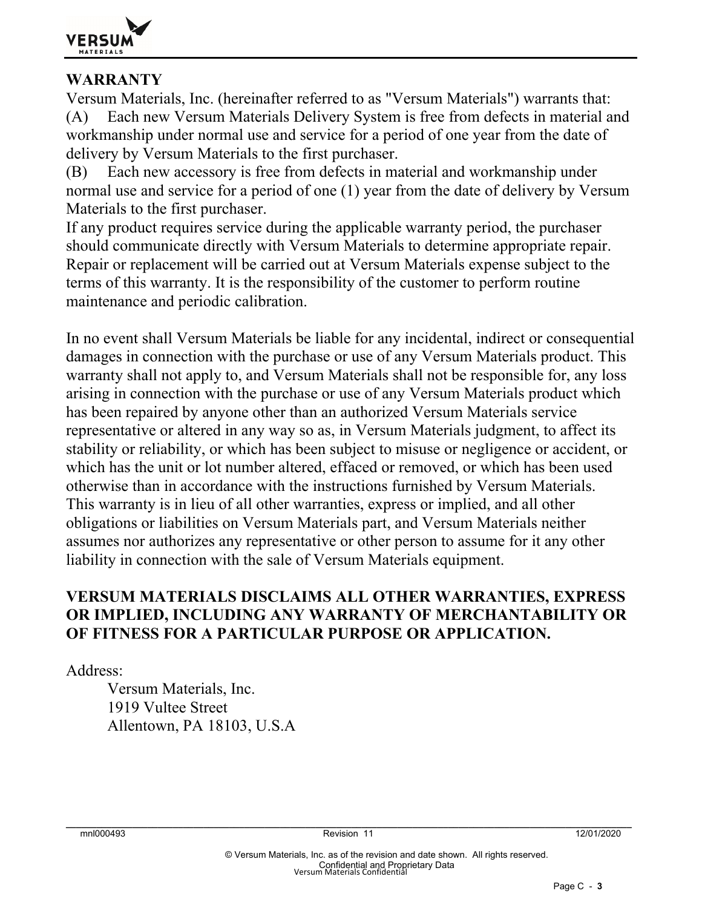

#### **WARRANTY**

Versum Materials, Inc. (hereinafter referred to as "Versum Materials") warrants that: (A) Each new Versum Materials Delivery System is free from defects in material and workmanship under normal use and service for a period of one year from the date of delivery by Versum Materials to the first purchaser.

(B) Each new accessory is free from defects in material and workmanship under normal use and service for a period of one (1) year from the date of delivery by Versum Materials to the first purchaser.

If any product requires service during the applicable warranty period, the purchaser should communicate directly with Versum Materials to determine appropriate repair. Repair or replacement will be carried out at Versum Materials expense subject to the terms of this warranty. It is the responsibility of the customer to perform routine maintenance and periodic calibration.

In no event shall Versum Materials be liable for any incidental, indirect or consequential damages in connection with the purchase or use of any Versum Materials product. This warranty shall not apply to, and Versum Materials shall not be responsible for, any loss arising in connection with the purchase or use of any Versum Materials product which has been repaired by anyone other than an authorized Versum Materials service representative or altered in any way so as, in Versum Materials judgment, to affect its stability or reliability, or which has been subject to misuse or negligence or accident, or which has the unit or lot number altered, effaced or removed, or which has been used otherwise than in accordance with the instructions furnished by Versum Materials. This warranty is in lieu of all other warranties, express or implied, and all other obligations or liabilities on Versum Materials part, and Versum Materials neither assumes nor authorizes any representative or other person to assume for it any other liability in connection with the sale of Versum Materials equipment.

#### **VERSUM MATERIALS DISCLAIMS ALL OTHER WARRANTIES, EXPRESS OR IMPLIED, INCLUDING ANY WARRANTY OF MERCHANTABILITY OR OF FITNESS FOR A PARTICULAR PURPOSE OR APPLICATION.**

Address:

 Versum Materials, Inc. 1919 Vultee Street Allentown, PA 18103, U.S.A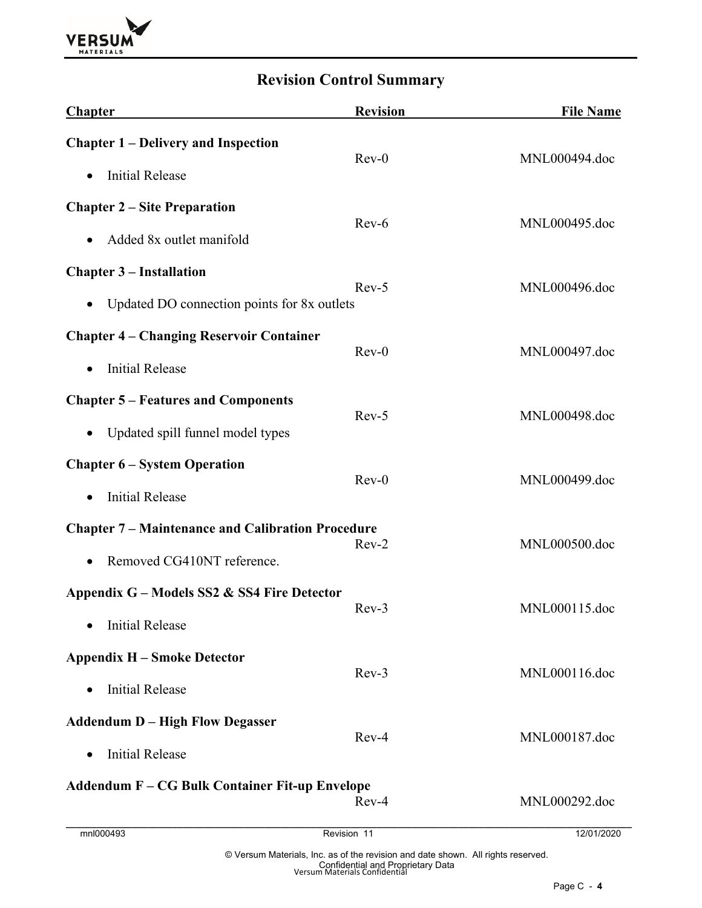

#### **Revision Control Summary**

| <b>Chapter</b>                                           | <b>Revision</b> | <b>File Name</b> |  |
|----------------------------------------------------------|-----------------|------------------|--|
| <b>Chapter 1 – Delivery and Inspection</b>               |                 |                  |  |
| <b>Initial Release</b><br>$\bullet$                      | $Rev-0$         | MNL000494.doc    |  |
| <b>Chapter 2 – Site Preparation</b>                      |                 |                  |  |
| Added 8x outlet manifold<br>$\bullet$                    | $Rev-6$         | MNL000495.doc    |  |
| <b>Chapter 3 – Installation</b>                          |                 |                  |  |
| Updated DO connection points for 8x outlets<br>$\bullet$ | $Rev-5$         | MNL000496.doc    |  |
| <b>Chapter 4 – Changing Reservoir Container</b>          | $Rev-0$         |                  |  |
| <b>Initial Release</b><br>$\bullet$                      |                 | MNL000497.doc    |  |
| <b>Chapter 5 – Features and Components</b>               | $Rev-5$         |                  |  |
| Updated spill funnel model types<br>$\bullet$            |                 | MNL000498.doc    |  |
| <b>Chapter 6 - System Operation</b>                      | $Rev-0$         |                  |  |
| <b>Initial Release</b><br>$\bullet$                      |                 | MNL000499.doc    |  |
| <b>Chapter 7 – Maintenance and Calibration Procedure</b> | $Rev-2$         |                  |  |
| Removed CG410NT reference.<br>$\bullet$                  |                 | MNL000500.doc    |  |
| Appendix $G$ – Models SS2 & SS4 Fire Detector            |                 |                  |  |
| <b>Initial Release</b>                                   | $Rev-3$         | MNL000115.doc    |  |
| <b>Appendix H – Smoke Detector</b>                       | $Rev-3$         |                  |  |
| <b>Initial Release</b><br>$\bullet$                      |                 | MNL000116.doc    |  |
| <b>Addendum D - High Flow Degasser</b>                   | $Rev-4$         |                  |  |
| <b>Initial Release</b><br>$\bullet$                      |                 | MNL000187.doc    |  |
| <b>Addendum F – CG Bulk Container Fit-up Envelope</b>    | $Rev-4$         | MNL000292.doc    |  |
| mnl000493                                                | Revision 11     | 12/01/2020       |  |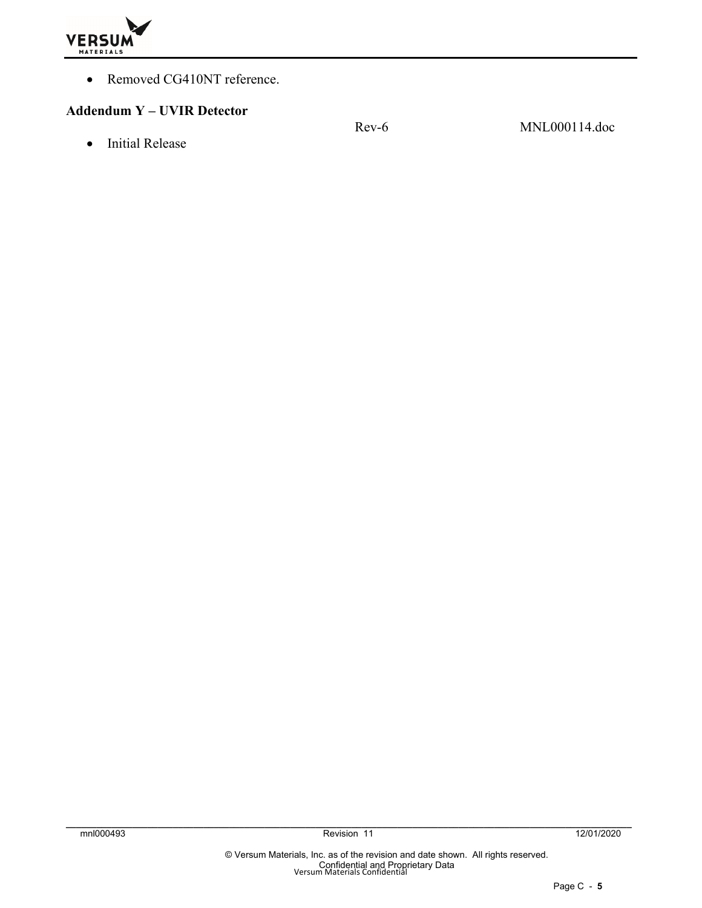

Removed CG410NT reference.

#### **Addendum Y – UVIR Detector**

• Initial Release

Rev-6 MNL000114.doc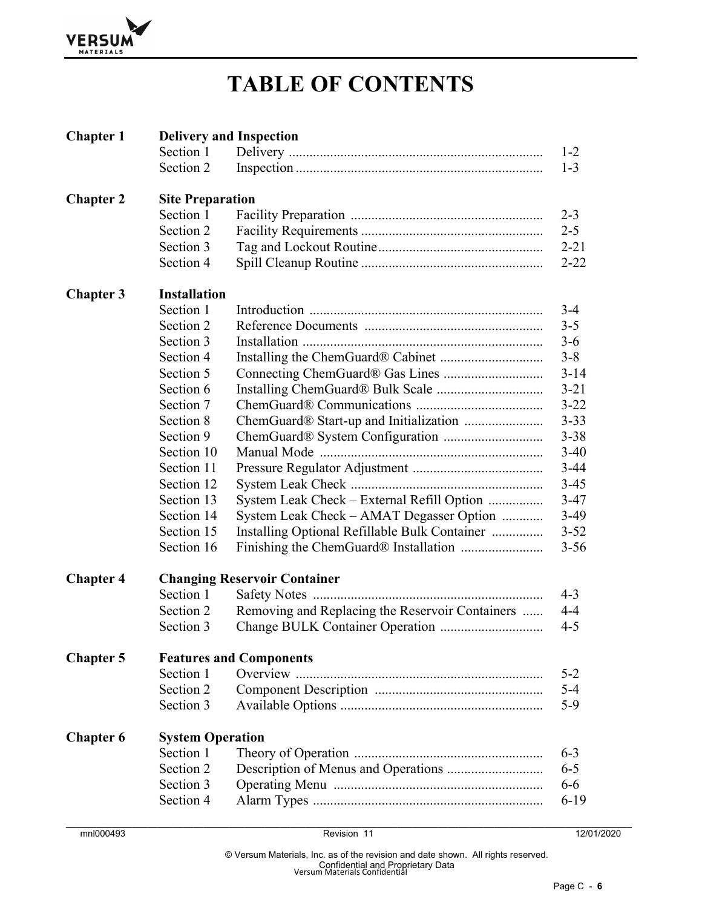

## **TABLE OF CONTENTS**

| <b>Chapter 1</b> | <b>Delivery and Inspection</b>      |                                                 |                    |  |  |
|------------------|-------------------------------------|-------------------------------------------------|--------------------|--|--|
|                  | Section 1                           |                                                 | $1 - 2$            |  |  |
|                  | Section 2                           |                                                 | $1 - 3$            |  |  |
| <b>Chapter 2</b> | <b>Site Preparation</b>             |                                                 |                    |  |  |
|                  | Section 1                           |                                                 |                    |  |  |
|                  | Section 2                           |                                                 | $2 - 3$<br>$2 - 5$ |  |  |
|                  | Section 3                           |                                                 | $2 - 21$           |  |  |
|                  | Section 4                           |                                                 | $2 - 22$           |  |  |
| <b>Chapter 3</b> | <b>Installation</b>                 |                                                 |                    |  |  |
|                  | Section 1                           |                                                 | $3 - 4$            |  |  |
|                  | Section 2                           |                                                 | $3 - 5$            |  |  |
|                  | Section 3                           |                                                 | $3-6$              |  |  |
|                  | Section 4                           |                                                 | $3 - 8$            |  |  |
|                  | Section 5                           |                                                 | $3 - 14$           |  |  |
|                  | Section 6                           |                                                 | $3 - 21$           |  |  |
|                  | Section 7                           |                                                 | $3 - 22$           |  |  |
|                  | Section 8                           |                                                 | $3 - 33$           |  |  |
|                  | Section 9                           |                                                 |                    |  |  |
|                  | Section 10                          |                                                 | $3 - 38$           |  |  |
|                  |                                     |                                                 | $3-40$             |  |  |
|                  | Section 11                          |                                                 | $3 - 44$           |  |  |
|                  | Section 12                          |                                                 | $3 - 45$           |  |  |
|                  | Section 13                          | System Leak Check – External Refill Option      | $3-47$             |  |  |
|                  | Section 14                          | System Leak Check – AMAT Degasser Option        | $3-49$             |  |  |
|                  | Section 15                          | Installing Optional Refillable Bulk Container   | $3 - 52$           |  |  |
|                  | Section 16                          |                                                 | $3 - 56$           |  |  |
| <b>Chapter 4</b> | <b>Changing Reservoir Container</b> |                                                 |                    |  |  |
|                  | Section 1                           |                                                 | $4 - 3$            |  |  |
|                  | Section 2                           | Removing and Replacing the Reservoir Containers | $4 - 4$            |  |  |
|                  | Section 3                           |                                                 | $4 - 5$            |  |  |
| <b>Chapter 5</b> |                                     | <b>Features and Components</b>                  |                    |  |  |
|                  | Section 1                           |                                                 | $5 - 2$            |  |  |
|                  | Section 2                           |                                                 | $5 - 4$            |  |  |
|                  | Section 3                           |                                                 | $5-9$              |  |  |
| <b>Chapter 6</b> | <b>System Operation</b>             |                                                 |                    |  |  |
|                  | Section 1                           |                                                 | $6 - 3$            |  |  |
|                  | Section 2                           |                                                 | $6 - 5$            |  |  |
|                  | Section 3                           |                                                 | $6 - 6$            |  |  |
|                  | Section 4                           |                                                 | $6-19$             |  |  |
|                  |                                     |                                                 |                    |  |  |